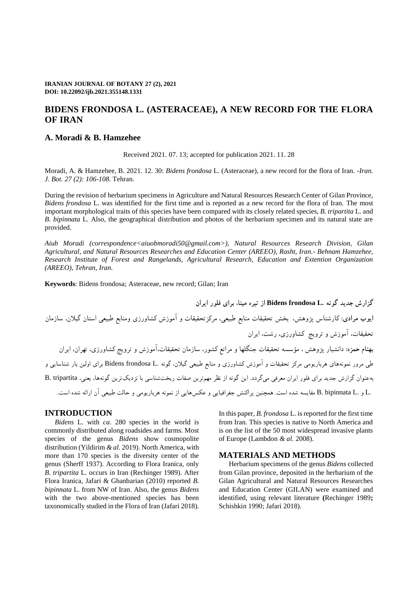# **BIDENS FRONDOSA L. (ASTERACEAE), A NEW RECORD FOR THE FLORA OF IRAN**

# **A. Moradi & B. Hamzehee**

Received 2021. 07. 13; accepted for publication 2021. 11. 28

Moradi, A. & Hamzehee, B. 2021. 12. 30: *Bidens frondosa* L. (Asteraceae), a new record for the flora of Iran*. -Iran. J. Bot. 27 (2): 106-108.* Tehran.

During the revision of herbarium specimens in Agriculture and Natural Resources Research Center of Gilan Province, *Bidens frondosa* L. was identified for the first time and is reported as a new record for the flora of Iran. The most important morphological traits of this species have been compared with its closely related species, *B. tripartita* L. and *B. bipinnata* L. Also, the geographical distribution and photos of the herbarium specimen and its natural state are provided.

*Aiub Moradi (correspondence[<aiuobmoradi50@gmail.com>](mailto:aiuobmoradi50@gmail.com)), Natural Resources Research Division, Gilan Agricultural, and Natural Resources Researches and Education Center (AREEO), Rasht, Iran.- Behnam Hamzehee, Research Institute of Forest and Rangelands, Agricultural Research, Education and Extention Organization (AREEO), Tehran, Iran.*

**Keywords**: Bidens frondosa; Asteraceae, new record; Gilan; Iran

**گزارش جدید گونه .L frondosa Bidens از تیره مینا، برای فلور ایران ایوب مرادی:** کارشناس پژوهش، بخش تحقیقات منابع طبیعی، مرکزتحقیقات و آموزش کشاورزی ومنابع طبیعی استان گیالن، سازمان تحقیقات، آموزش و ترویج کشاورزی، رشت، ایران **بهنام حمزه:** دانشیار پژوهش ، مؤسسه تحقیقات جنگلها و مراتع کشور، سازمان تحقیقات،آموزش و ترویج کشاورزی، تهران، ایران طی مرور نمونههای هرباریومی مرکز تحقیقات و آموزش کشاورزی و منابع طبیعی گیالن، گونه .L frondosa Bidens برای اولین بار شناسایی و بهعنوان گزارش جدید برای فلور ایران معرفی میگردد. این گونه از نظر مهمترین صفات ریختشناسی با نزدیکترین گونهها، یعنی، tripartita .B .L و .L bipinnata .B مقایسه شده است. همچنین پراکنش جغرافیایی و عکسهایی از نمونه هرباریومی و حالت طبیعی آن ارائه شده است.

# **INTRODUCTION**

*Bidens* L. with *ca*. 280 species in the world is commonly distributed along roadsides and farms. Most species of the genus *Bidens* show cosmopolite distribution (Yildirim *& al.* 2019). North America, with more than 170 species is the diversity center of the genus (Sherff 1937). According to Flora Iranica, only *B. tripartita* L. occurs in Iran (Rechinger 1989). After Flora Iranica, Jafari & Ghanbarian (2010) reported *B. bipinnata* L. from NW of Iran. Also, the genus *Bidens* with the two above-mentioned species has been taxonomically studied in the Flora of Iran (Jafari 2018). In this paper, *B. frondosa* L. is reported for the first time from Iran. This species is native to North America and is on the list of the 50 most widespread invasive plants of Europe (Lambdon *& al.* 2008).

#### **MATERIALS AND METHODS**

Herbarium specimens of the genus *Bidens* collected from Gilan province, deposited in the herbarium of the Gilan Agricultural and Natural Resources Researches and Education Center (GILAN) were examined and identified, using relevant literature **(**Rechinger 1989**;** Schishkin 1990; Jafari 2018).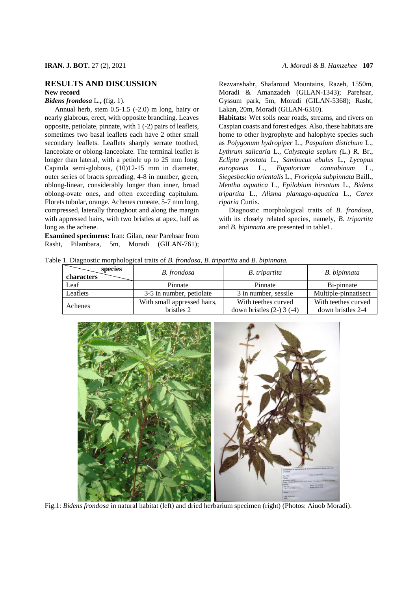### **RESULTS AND DISCUSSION New record**

*Bidens frondosa* L.**, (**fig. 1).

Annual herb, stem 0.5-1.5 (-2.0) m long, hairy or nearly glabrous, erect, with opposite branching. Leaves opposite, petiolate, pinnate, with 1 (-2) pairs of leaflets, sometimes two basal leaflets each have 2 other small secondary leaflets. Leaflets sharply serrate toothed, lanceolate or oblong-lanceolate. The terminal leaflet is longer than lateral, with a petiole up to 25 mm long. Capitula semi-globous, (10)12-15 mm in diameter, outer series of bracts spreading, 4-8 in number, green, oblong-linear, considerably longer than inner, broad oblong-ovate ones, and often exceeding capitulum. Florets tubular, orange. Achenes cuneate, 5-7 mm long, compressed, laterally throughout and along the margin with appressed hairs, with two bristles at apex, half as long as the achene.

**Examined specimens:** Iran: Gilan, near Parehsar from Rasht, Pilambara, 5m, Moradi (GILAN-761); Rezvanshahr, Shafaroud Mountains, Razeh, 1550m, Moradi & Amanzadeh (GILAN-1343); Parehsar, Gyssum park, 5m, Moradi (GILAN-5368); Rasht, Lakan, 20m, Moradi (GILAN-6310).

**Habitats:** Wet soils near roads, streams, and rivers on Caspian coasts and forest edges. Also, these habitats are home to other hygrophyte and halophyte species such as *Polygonum hydropiper* L.*, Paspalum distichum* L.*, Lythrum salicaria* L.*, Calystegia sepium (*L.) R. Br., *Eclipta prostata* L.*, Sambucus ebulus* L.*, Lycopus europaeus* L.*, Eupatorium cannabinum* L.*, Siegesbeckia orientalis* L., *Froriepia subpinnata* Baill., *Mentha aquatica* L., *Epilobium hirsotum* L., *Bidens tripartita* L.*, Alisma plantago-aquatica* L.*, Carex riparia* Curtis.

Diagnostic morphological traits of *B. frondosa*, with its closely related species, namely, *B. tripartita* and *B. bipinnata* are presented in table1.

Table 1. Diagnostic morphological traits of *B. frondosa*, *B. tripartita* and *B. bipinnata.*

| species<br>characters | B. frondosa                 | B. tripartita                 | B. bipinnata         |
|-----------------------|-----------------------------|-------------------------------|----------------------|
| Leaf                  | Pinnate                     | Pinnate                       | Bi-pinnate           |
| Leaflets              | 3-5 in number, petiolate    | 3 in number, sessile          | Multiple-pinnatisect |
| Achenes               | With small appressed hairs, | With teethes curved           | With teethes curved  |
|                       | bristles 2                  | down bristles $(2-)$ 3 $(-4)$ | down bristles 2-4    |



Fig.1: *Bidens frondosa* in natural habitat (left) and dried herbarium specimen (right) (Photos: Aiuob Moradi).